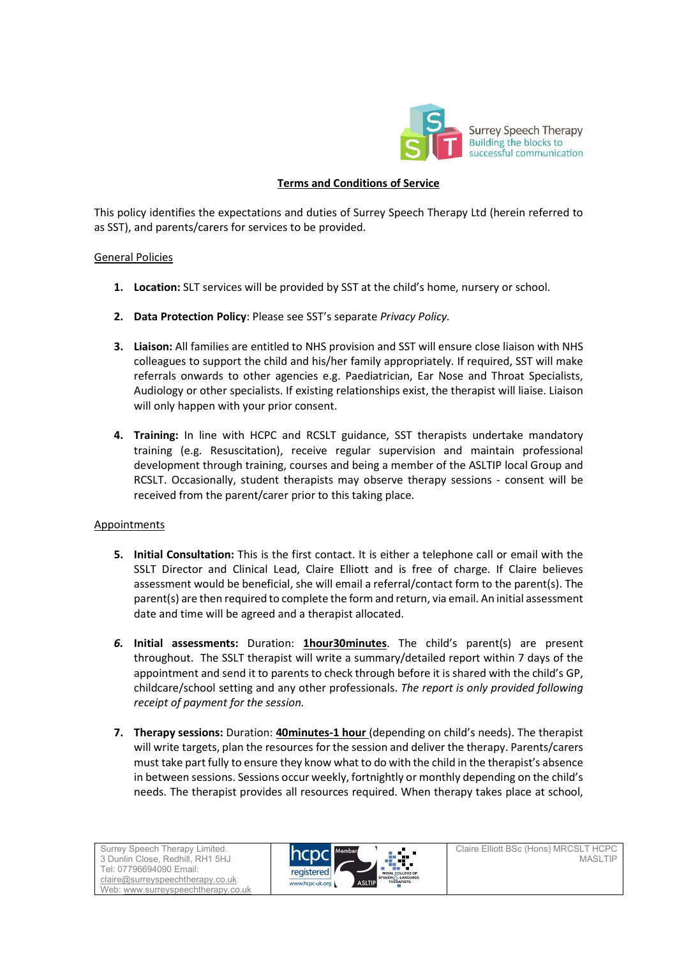

## Terms and Conditions of Service

This policy identifies the expectations and duties of Surrey Speech Therapy Ltd (herein referred to as SST), and parents/carers for services to be provided.

## General Policies

- 1. Location: SLT services will be provided by SST at the child's home, nursery or school.
- 2. Data Protection Policy: Please see SST's separate Privacy Policy.
- 3. Liaison: All families are entitled to NHS provision and SST will ensure close liaison with NHS colleagues to support the child and his/her family appropriately. If required, SST will make referrals onwards to other agencies e.g. Paediatrician, Ear Nose and Throat Specialists, Audiology or other specialists. If existing relationships exist, the therapist will liaise. Liaison will only happen with your prior consent.
- 4. Training: In line with HCPC and RCSLT guidance, SST therapists undertake mandatory training (e.g. Resuscitation), receive regular supervision and maintain professional development through training, courses and being a member of the ASLTIP local Group and RCSLT. Occasionally, student therapists may observe therapy sessions - consent will be received from the parent/carer prior to this taking place.

## Appointments

- 5. Initial Consultation: This is the first contact. It is either a telephone call or email with the SSLT Director and Clinical Lead, Claire Elliott and is free of charge. If Claire believes assessment would be beneficial, she will email a referral/contact form to the parent(s). The parent(s) are then required to complete the form and return, via email. An initial assessment date and time will be agreed and a therapist allocated.
- 6. Initial assessments: Duration: 1hour30minutes. The child's parent(s) are present throughout. The SSLT therapist will write a summary/detailed report within 7 days of the appointment and send it to parents to check through before it is shared with the child's GP, childcare/school setting and any other professionals. The report is only provided following receipt of payment for the session.
- 7. Therapy sessions: Duration: 40minutes-1 hour (depending on child's needs). The therapist will write targets, plan the resources for the session and deliver the therapy. Parents/carers must take part fully to ensure they know what to do with the child in the therapist's absence in between sessions. Sessions occur weekly, fortnightly or monthly depending on the child's needs. The therapist provides all resources required. When therapy takes place at school,